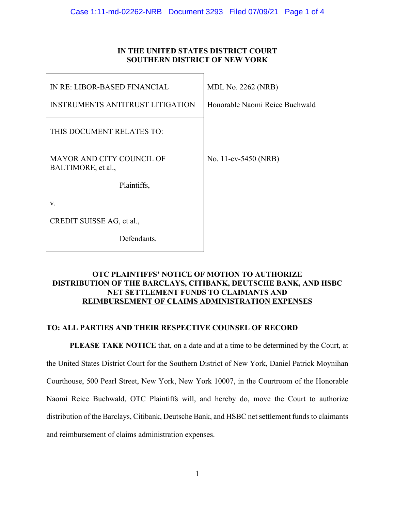## **IN THE UNITED STATES DISTRICT COURT SOUTHERN DISTRICT OF NEW YORK**

| IN RE: LIBOR-BASED FINANCIAL                           | <b>MDL No. 2262 (NRB)</b>      |
|--------------------------------------------------------|--------------------------------|
| <b>INSTRUMENTS ANTITRUST LITIGATION</b>                | Honorable Naomi Reice Buchwald |
| THIS DOCUMENT RELATES TO:                              |                                |
| <b>MAYOR AND CITY COUNCIL OF</b><br>BALTIMORE, et al., | No. 11-cv-5450 (NRB)           |
| Plaintiffs,                                            |                                |
| V.                                                     |                                |
| CREDIT SUISSE AG, et al.,                              |                                |
| Defendants.                                            |                                |

### **OTC PLAINTIFFS' NOTICE OF MOTION TO AUTHORIZE DISTRIBUTION OF THE BARCLAYS, CITIBANK, DEUTSCHE BANK, AND HSBC NET SETTLEMENT FUNDS TO CLAIMANTS AND REIMBURSEMENT OF CLAIMS ADMINISTRATION EXPENSES**

# **TO: ALL PARTIES AND THEIR RESPECTIVE COUNSEL OF RECORD**

**PLEASE TAKE NOTICE** that, on a date and at a time to be determined by the Court, at the United States District Court for the Southern District of New York, Daniel Patrick Moynihan Courthouse, 500 Pearl Street, New York, New York 10007, in the Courtroom of the Honorable Naomi Reice Buchwald, OTC Plaintiffs will, and hereby do, move the Court to authorize distribution of the Barclays, Citibank, Deutsche Bank, and HSBC net settlement funds to claimants and reimbursement of claims administration expenses.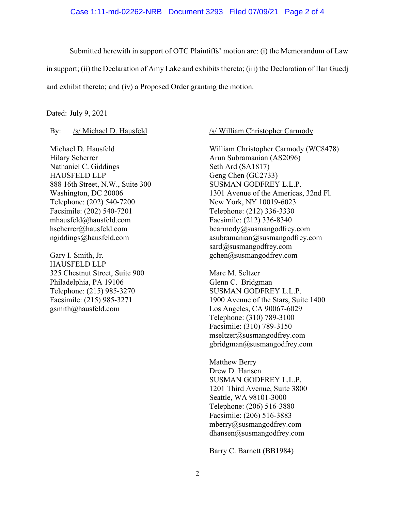#### Case 1:11-md-02262-NRB Document 3293 Filed 07/09/21 Page 2 of 4

Submitted herewith in support of OTC Plaintiffs' motion are: (i) the Memorandum of Law in support; (ii) the Declaration of Amy Lake and exhibits thereto; (iii) the Declaration of Ilan Guedj

and exhibit thereto; and (iv) a Proposed Order granting the motion.

### Dated: July 9, 2021

### By: /s/ Michael D. Hausfeld

Michael D. Hausfeld Hilary Scherrer Nathaniel C. Giddings HAUSFELD LLP 888 16th Street, N.W., Suite 300 Washington, DC 20006 Telephone: (202) 540-7200 Facsimile: (202) 540-7201 mhausfeld@hausfeld.com hscherrer@hausfeld.com ngiddings@hausfeld.com

Gary I. Smith, Jr. HAUSFELD LLP 325 Chestnut Street, Suite 900 Philadelphia, PA 19106 Telephone: (215) 985-3270 Facsimile: (215) 985-3271 gsmith@hausfeld.com

#### /s/ William Christopher Carmody

William Christopher Carmody (WC8478) Arun Subramanian (AS2096) Seth Ard (SA1817) Geng Chen (GC2733) SUSMAN GODFREY L.L.P. 1301 Avenue of the Americas, 32nd Fl. New York, NY 10019-6023 Telephone: (212) 336-3330 Facsimile: (212) 336-8340 bcarmody@susmangodfrey.com asubramanian@susmangodfrey.com sard@susmangodfrey.com gchen@susmangodfrey.com

Marc M. Seltzer Glenn C. Bridgman SUSMAN GODFREY L.L.P. 1900 Avenue of the Stars, Suite 1400 Los Angeles, CA 90067-6029 Telephone: (310) 789-3100 Facsimile: (310) 789-3150 mseltzer@susmangodfrey.com gbridgman@susmangodfrey.com

Matthew Berry Drew D. Hansen SUSMAN GODFREY L.L.P. 1201 Third Avenue, Suite 3800 Seattle, WA 98101-3000 Telephone: (206) 516-3880 Facsimile: (206) 516-3883 mberry@susmangodfrey.com dhansen@susmangodfrey.com

Barry C. Barnett (BB1984)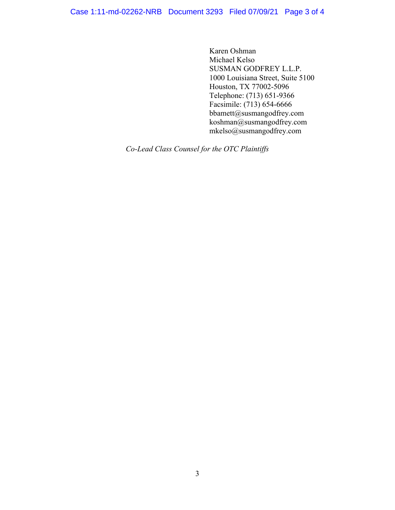Karen Oshman Michael Kelso SUSMAN GODFREY L.L.P. 1000 Louisiana Street, Suite 5100 Houston, TX 77002-5096 Telephone: (713) 651-9366 Facsimile: (713) 654-6666 bbamett@susmangodfrey.com koshman@susmangodfrey.com mkelso@susmangodfrey.com

*Co-Lead Class Counsel for the OTC Plaintiffs*